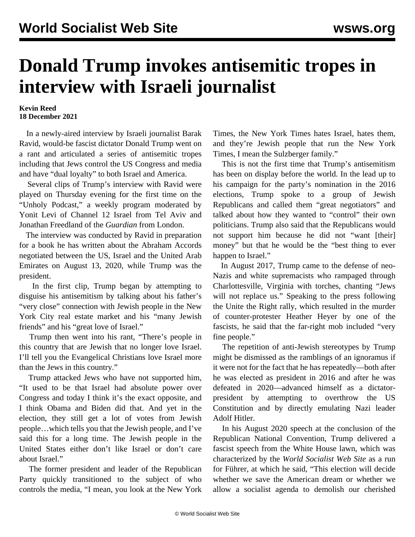## **Donald Trump invokes antisemitic tropes in interview with Israeli journalist**

## **Kevin Reed 18 December 2021**

 In a newly-aired interview by Israeli journalist Barak Ravid, would-be fascist dictator Donald Trump went on a rant and articulated a series of antisemitic tropes including that Jews control the US Congress and media and have "dual loyalty" to both Israel and America.

 Several clips of Trump's interview with Ravid were played on Thursday evening for the first time on the "Unholy Podcast," a weekly program moderated by Yonit Levi of Channel 12 Israel from Tel Aviv and Jonathan Freedland of the *Guardian* from London.

 The interview was conducted by Ravid in preparation for a book he has written about the Abraham Accords negotiated between the US, Israel and the United Arab Emirates on August 13, 2020, while Trump was the president.

 In the first clip, Trump began by attempting to disguise his antisemitism by talking about his father's "very close" connection with Jewish people in the New York City real estate market and his "many Jewish friends" and his "great love of Israel."

 Trump then went into his rant, "There's people in this country that are Jewish that no longer love Israel. I'll tell you the Evangelical Christians love Israel more than the Jews in this country."

 Trump attacked Jews who have not supported him, "It used to be that Israel had absolute power over Congress and today I think it's the exact opposite, and I think Obama and Biden did that. And yet in the election, they still get a lot of votes from Jewish people…which tells you that the Jewish people, and I've said this for a long time. The Jewish people in the United States either don't like Israel or don't care about Israel."

 The former president and leader of the Republican Party quickly transitioned to the subject of who controls the media, "I mean, you look at the New York Times, the New York Times hates Israel, hates them, and they're Jewish people that run the New York Times, I mean the Sulzberger family."

 This is not the first time that Trump's antisemitism has been on display before the world. In the lead up to his campaign for the party's nomination in the 2016 elections, Trump spoke to a group of Jewish Republicans and called them "great negotiators" and talked about how they wanted to "control" their own politicians. Trump also said that the Republicans would not support him because he did not "want [their] money" but that he would be the "best thing to ever happen to Israel."

 In August 2017, Trump came to the defense of neo-Nazis and white supremacists who rampaged through Charlottesville, Virginia with torches, chanting "Jews will not replace us." Speaking to the press following the Unite the Right rally, which resulted in the murder of counter-protester Heather Heyer by one of the fascists, he said that the far-right mob included "very fine people."

 The repetition of anti-Jewish stereotypes by Trump might be dismissed as the ramblings of an ignoramus if it were not for the fact that he has repeatedly—both after he was elected as president in 2016 and after he was defeated in 2020—advanced himself as a dictatorpresident by attempting to overthrow the US Constitution and by directly emulating Nazi leader Adolf Hitler.

 In his August 2020 speech at the conclusion of the Republican National Convention, Trump delivered a fascist speech from the White House lawn, which was characterized by the *World Socialist Web Site* as a [run](/en/articles/2020/08/28/rnct-a08.html) [for Führer](/en/articles/2020/08/28/rnct-a08.html), at which he said, "This election will decide whether we save the American dream or whether we allow a socialist agenda to demolish our cherished